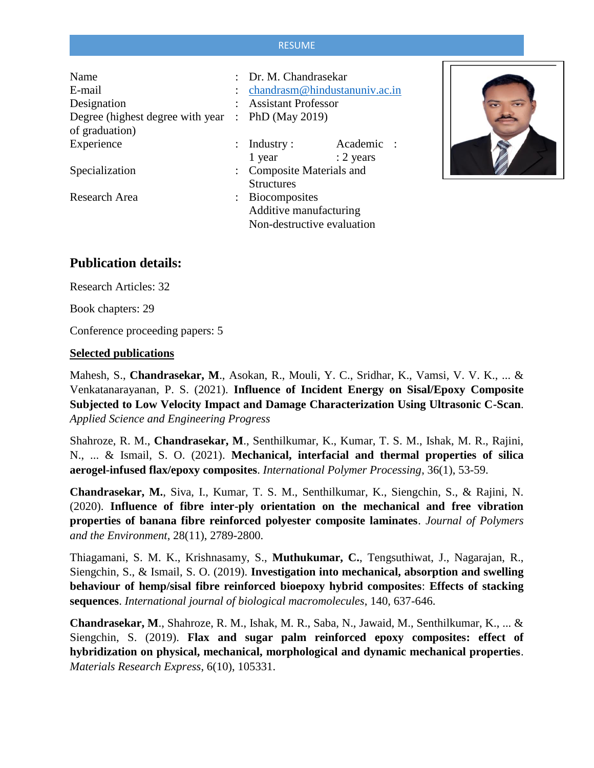#### RESUME

| chandrasm@hindustanuniv.ac.in |                                                                                                   |                                                                                  |
|-------------------------------|---------------------------------------------------------------------------------------------------|----------------------------------------------------------------------------------|
|                               |                                                                                                   |                                                                                  |
|                               |                                                                                                   |                                                                                  |
|                               |                                                                                                   |                                                                                  |
|                               | Academic                                                                                          |                                                                                  |
| 1 year                        | $: 2$ years                                                                                       |                                                                                  |
|                               |                                                                                                   |                                                                                  |
| <b>Structures</b>             |                                                                                                   |                                                                                  |
|                               |                                                                                                   |                                                                                  |
| Additive manufacturing        |                                                                                                   |                                                                                  |
| Non-destructive evaluation    |                                                                                                   |                                                                                  |
|                               | Degree (highest degree with year $\therefore$ PhD (May 2019)<br>$:$ Industry :<br>: Biocomposites | : Dr. M. Chandrasekar<br><b>Assistant Professor</b><br>: Composite Materials and |



## **Publication details:**

Research Articles: 32

Book chapters: 29

Conference proceeding papers: 5

#### **Selected publications**

Mahesh, S., **Chandrasekar, M**., Asokan, R., Mouli, Y. C., Sridhar, K., Vamsi, V. V. K., ... & Venkatanarayanan, P. S. (2021). **Influence of Incident Energy on Sisal/Epoxy Composite Subjected to Low Velocity Impact and Damage Characterization Using Ultrasonic C-Scan**. *Applied Science and Engineering Progress*

Shahroze, R. M., **Chandrasekar, M**., Senthilkumar, K., Kumar, T. S. M., Ishak, M. R., Rajini, N., ... & Ismail, S. O. (2021). **Mechanical, interfacial and thermal properties of silica aerogel-infused flax/epoxy composites**. *International Polymer Processing*, 36(1), 53-59.

**Chandrasekar, M.**, Siva, I., Kumar, T. S. M., Senthilkumar, K., Siengchin, S., & Rajini, N. (2020). **Influence of fibre inter-ply orientation on the mechanical and free vibration properties of banana fibre reinforced polyester composite laminates**. *Journal of Polymers and the Environment*, 28(11), 2789-2800.

Thiagamani, S. M. K., Krishnasamy, S., **Muthukumar, C.**, Tengsuthiwat, J., Nagarajan, R., Siengchin, S., & Ismail, S. O. (2019). **Investigation into mechanical, absorption and swelling behaviour of hemp/sisal fibre reinforced bioepoxy hybrid composites**: **Effects of stacking sequences**. *International journal of biological macromolecules*, 140, 637-646.

**Chandrasekar, M**., Shahroze, R. M., Ishak, M. R., Saba, N., Jawaid, M., Senthilkumar, K., ... & Siengchin, S. (2019). **Flax and sugar palm reinforced epoxy composites: effect of hybridization on physical, mechanical, morphological and dynamic mechanical properties**. *Materials Research Express*, 6(10), 105331.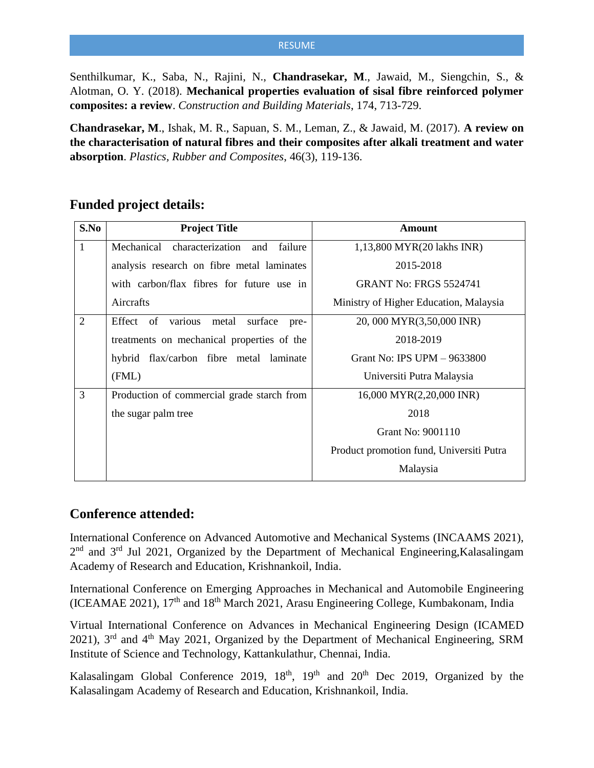Senthilkumar, K., Saba, N., Rajini, N., **Chandrasekar, M**., Jawaid, M., Siengchin, S., & Alotman, O. Y. (2018). **Mechanical properties evaluation of sisal fibre reinforced polymer composites: a review**. *Construction and Building Materials*, 174, 713-729.

**Chandrasekar, M**., Ishak, M. R., Sapuan, S. M., Leman, Z., & Jawaid, M. (2017). **A review on the characterisation of natural fibres and their composites after alkali treatment and water absorption**. *Plastics, Rubber and Composites*, 46(3), 119-136.

# **Funded project details:**

| S.No           | <b>Project Title</b>                          | <b>Amount</b>                            |
|----------------|-----------------------------------------------|------------------------------------------|
| 1              | Mechanical<br>characterization and<br>failure | 1,13,800 MYR(20 lakhs INR)               |
|                | analysis research on fibre metal laminates    | 2015-2018                                |
|                | with carbon/flax fibres for future use in     | <b>GRANT No: FRGS 5524741</b>            |
|                | Aircrafts                                     | Ministry of Higher Education, Malaysia   |
| $\overline{2}$ | metal<br>Effect of various<br>surface<br>pre- | 20, 000 MYR(3,50,000 INR)                |
|                | treatments on mechanical properties of the    | 2018-2019                                |
|                | hybrid flax/carbon fibre metal laminate       | Grant No: IPS UPM $-9633800$             |
|                | (FML)                                         | Universiti Putra Malaysia                |
| 3              | Production of commercial grade starch from    | 16,000 MYR(2,20,000 INR)                 |
|                | the sugar palm tree                           | 2018                                     |
|                |                                               | Grant No: 9001110                        |
|                |                                               | Product promotion fund, Universiti Putra |
|                |                                               | Malaysia                                 |

## **Conference attended:**

International Conference on Advanced Automotive and Mechanical Systems (INCAAMS 2021), 2<sup>nd</sup> and 3<sup>rd</sup> Jul 2021, Organized by the Department of Mechanical Engineering, Kalasalingam Academy of Research and Education, Krishnankoil, India.

International Conference on Emerging Approaches in Mechanical and Automobile Engineering (ICEAMAE 2021),  $17<sup>th</sup>$  and  $18<sup>th</sup>$  March 2021, Arasu Engineering College, Kumbakonam, India

Virtual International Conference on Advances in Mechanical Engineering Design (ICAMED 2021),  $3<sup>rd</sup>$  and  $4<sup>th</sup>$  May 2021, Organized by the Department of Mechanical Engineering, SRM Institute of Science and Technology, Kattankulathur, Chennai, India.

Kalasalingam Global Conference 2019,  $18<sup>th</sup>$ ,  $19<sup>th</sup>$  and  $20<sup>th</sup>$  Dec 2019, Organized by the Kalasalingam Academy of Research and Education, Krishnankoil, India.